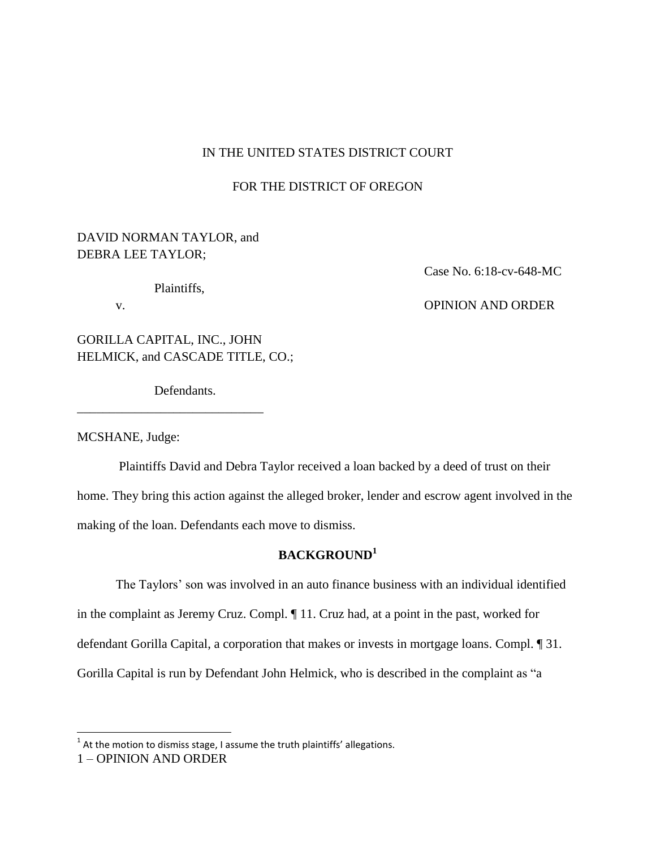# IN THE UNITED STATES DISTRICT COURT

# FOR THE DISTRICT OF OREGON

# DAVID NORMAN TAYLOR, and DEBRA LEE TAYLOR;

#### Plaintiffs,

Case No. 6:18-cv-648-MC

# v. **OPINION AND ORDER**

GORILLA CAPITAL, INC., JOHN HELMICK, and CASCADE TITLE, CO.;

Defendants.

\_\_\_\_\_\_\_\_\_\_\_\_\_\_\_\_\_\_\_\_\_\_\_\_\_\_\_\_\_

MCSHANE, Judge:

Plaintiffs David and Debra Taylor received a loan backed by a deed of trust on their home. They bring this action against the alleged broker, lender and escrow agent involved in the making of the loan. Defendants each move to dismiss.

# **BACKGROUND<sup>1</sup>**

The Taylors' son was involved in an auto finance business with an individual identified in the complaint as Jeremy Cruz. Compl. ¶ 11. Cruz had, at a point in the past, worked for defendant Gorilla Capital, a corporation that makes or invests in mortgage loans. Compl. ¶ 31. Gorilla Capital is run by Defendant John Helmick, who is described in the complaint as "a

l

 $^1$  At the motion to dismiss stage, I assume the truth plaintiffs' allegations.

<sup>1</sup> – OPINION AND ORDER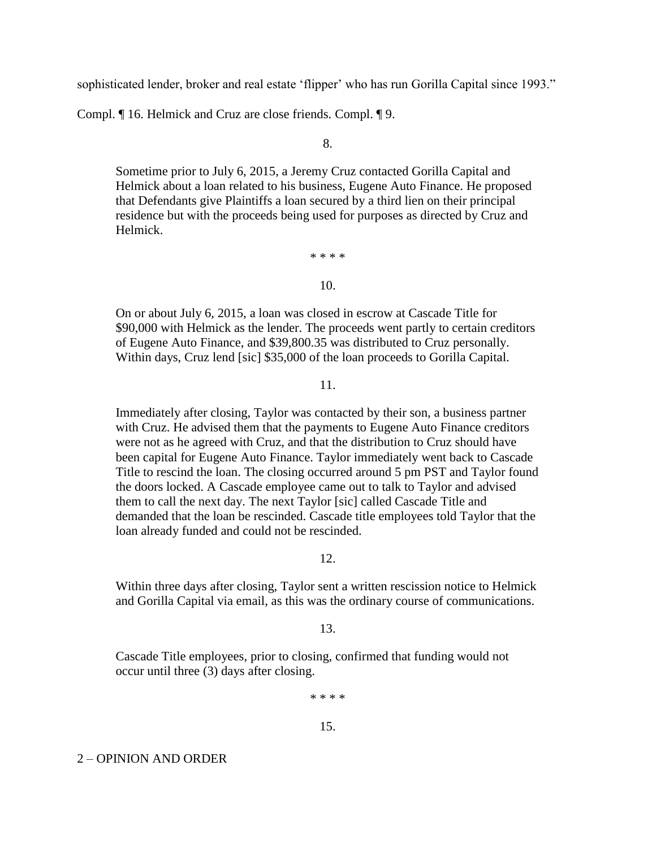sophisticated lender, broker and real estate 'flipper' who has run Gorilla Capital since 1993."

Compl. ¶ 16. Helmick and Cruz are close friends. Compl. ¶ 9.

8.

Sometime prior to July 6, 2015, a Jeremy Cruz contacted Gorilla Capital and Helmick about a loan related to his business, Eugene Auto Finance. He proposed that Defendants give Plaintiffs a loan secured by a third lien on their principal residence but with the proceeds being used for purposes as directed by Cruz and Helmick.

\* \* \* \*

10.

On or about July 6, 2015, a loan was closed in escrow at Cascade Title for \$90,000 with Helmick as the lender. The proceeds went partly to certain creditors of Eugene Auto Finance, and \$39,800.35 was distributed to Cruz personally. Within days, Cruz lend [sic] \$35,000 of the loan proceeds to Gorilla Capital.

11.

Immediately after closing, Taylor was contacted by their son, a business partner with Cruz. He advised them that the payments to Eugene Auto Finance creditors were not as he agreed with Cruz, and that the distribution to Cruz should have been capital for Eugene Auto Finance. Taylor immediately went back to Cascade Title to rescind the loan. The closing occurred around 5 pm PST and Taylor found the doors locked. A Cascade employee came out to talk to Taylor and advised them to call the next day. The next Taylor [sic] called Cascade Title and demanded that the loan be rescinded. Cascade title employees told Taylor that the loan already funded and could not be rescinded.

12.

Within three days after closing, Taylor sent a written rescission notice to Helmick and Gorilla Capital via email, as this was the ordinary course of communications.

13.

Cascade Title employees, prior to closing, confirmed that funding would not occur until three (3) days after closing.

\* \* \* \*

15.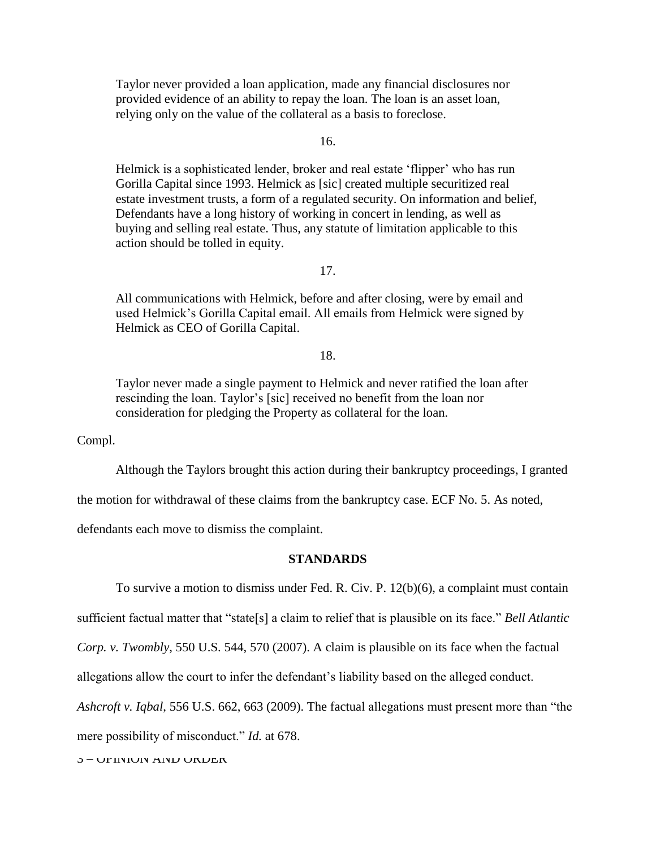Taylor never provided a loan application, made any financial disclosures nor provided evidence of an ability to repay the loan. The loan is an asset loan, relying only on the value of the collateral as a basis to foreclose.

16.

Helmick is a sophisticated lender, broker and real estate 'flipper' who has run Gorilla Capital since 1993. Helmick as [sic] created multiple securitized real estate investment trusts, a form of a regulated security. On information and belief, Defendants have a long history of working in concert in lending, as well as buying and selling real estate. Thus, any statute of limitation applicable to this action should be tolled in equity.

# 17.

All communications with Helmick, before and after closing, were by email and used Helmick's Gorilla Capital email. All emails from Helmick were signed by Helmick as CEO of Gorilla Capital.

# 18.

Taylor never made a single payment to Helmick and never ratified the loan after rescinding the loan. Taylor's [sic] received no benefit from the loan nor consideration for pledging the Property as collateral for the loan.

Compl.

Although the Taylors brought this action during their bankruptcy proceedings, I granted

the motion for withdrawal of these claims from the bankruptcy case. ECF No. 5. As noted,

defendants each move to dismiss the complaint.

## **STANDARDS**

To survive a motion to dismiss under Fed. R. Civ. P. 12(b)(6), a complaint must contain sufficient factual matter that "state[s] a claim to relief that is plausible on its face." *Bell Atlantic Corp. v. Twombly*, 550 U.S. 544, 570 (2007). A claim is plausible on its face when the factual

allegations allow the court to infer the defendant's liability based on the alleged conduct.

*Ashcroft v. Iqbal*, 556 U.S. 662, 663 (2009). The factual allegations must present more than "the

mere possibility of misconduct." *Id.* at 678.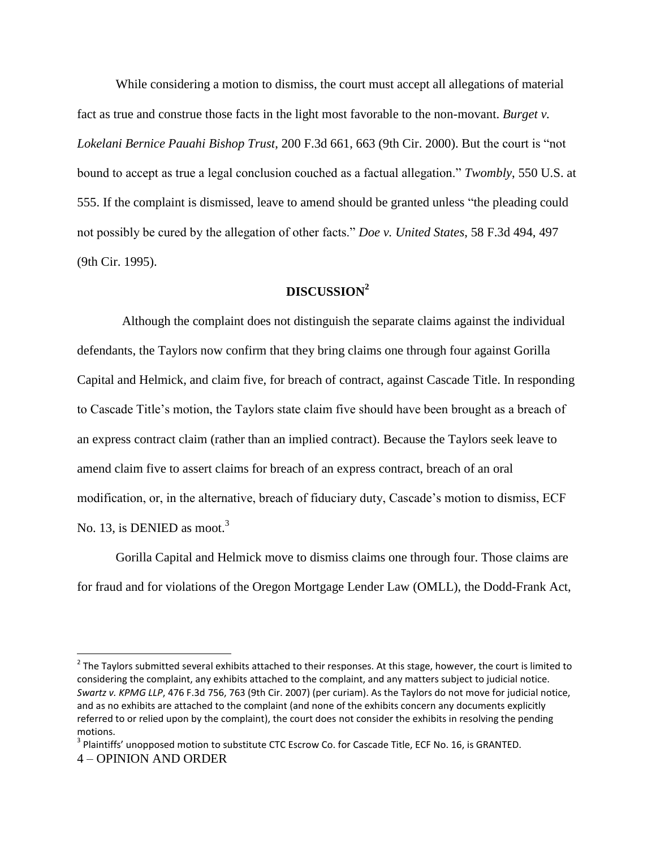While considering a motion to dismiss, the court must accept all allegations of material fact as true and construe those facts in the light most favorable to the non-movant. *Burget v. Lokelani Bernice Pauahi Bishop Trust*, 200 F.3d 661, 663 (9th Cir. 2000). But the court is "not bound to accept as true a legal conclusion couched as a factual allegation." *Twombly*, 550 U.S. at 555. If the complaint is dismissed, leave to amend should be granted unless "the pleading could not possibly be cured by the allegation of other facts." *Doe v. United States*, 58 F.3d 494, 497 (9th Cir. 1995).

# **DISCUSSION<sup>2</sup>**

 Although the complaint does not distinguish the separate claims against the individual defendants, the Taylors now confirm that they bring claims one through four against Gorilla Capital and Helmick, and claim five, for breach of contract, against Cascade Title. In responding to Cascade Title's motion, the Taylors state claim five should have been brought as a breach of an express contract claim (rather than an implied contract). Because the Taylors seek leave to amend claim five to assert claims for breach of an express contract, breach of an oral modification, or, in the alternative, breach of fiduciary duty, Cascade's motion to dismiss, ECF No. 13, is DENIED as moot.<sup>3</sup>

Gorilla Capital and Helmick move to dismiss claims one through four. Those claims are for fraud and for violations of the Oregon Mortgage Lender Law (OMLL), the Dodd-Frank Act,

 $\overline{\phantom{a}}$ 

 $2$  The Taylors submitted several exhibits attached to their responses. At this stage, however, the court is limited to considering the complaint, any exhibits attached to the complaint, and any matters subject to judicial notice. *Swartz v. KPMG LLP*, 476 F.3d 756, 763 (9th Cir. 2007) (per curiam). As the Taylors do not move for judicial notice, and as no exhibits are attached to the complaint (and none of the exhibits concern any documents explicitly referred to or relied upon by the complaint), the court does not consider the exhibits in resolving the pending motions.

<sup>4</sup> – OPINION AND ORDER <sup>3</sup> Plaintiffs' unopposed motion to substitute CTC Escrow Co. for Cascade Title, ECF No. 16, is GRANTED.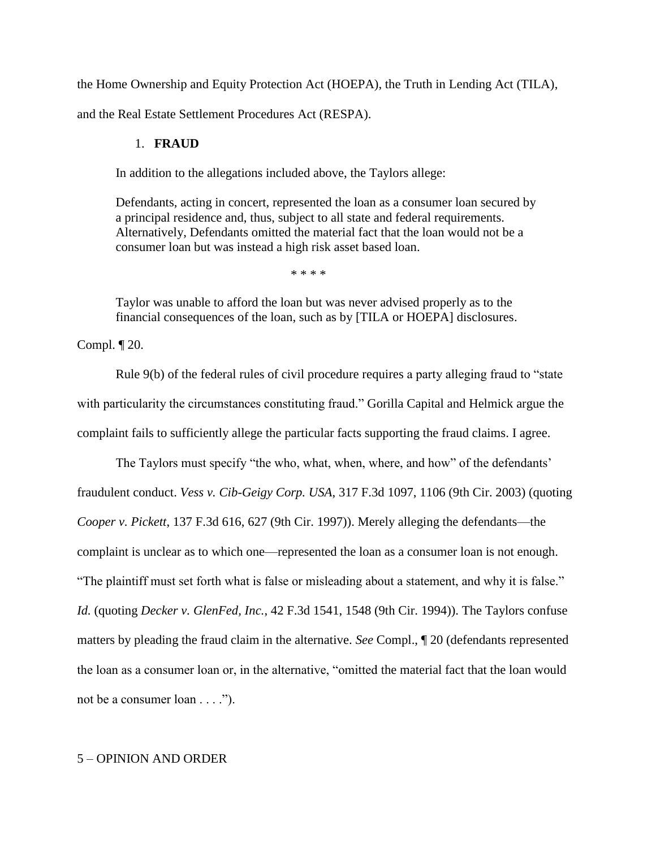the Home Ownership and Equity Protection Act (HOEPA), the Truth in Lending Act (TILA),

and the Real Estate Settlement Procedures Act (RESPA).

#### 1. **FRAUD**

In addition to the allegations included above, the Taylors allege:

Defendants, acting in concert, represented the loan as a consumer loan secured by a principal residence and, thus, subject to all state and federal requirements. Alternatively, Defendants omitted the material fact that the loan would not be a consumer loan but was instead a high risk asset based loan.

\* \* \* \*

Taylor was unable to afford the loan but was never advised properly as to the financial consequences of the loan, such as by [TILA or HOEPA] disclosures.

Compl. ¶ 20.

Rule 9(b) of the federal rules of civil procedure requires a party alleging fraud to "state with particularity the circumstances constituting fraud." Gorilla Capital and Helmick argue the complaint fails to sufficiently allege the particular facts supporting the fraud claims. I agree.

The Taylors must specify "the who, what, when, where, and how" of the defendants' fraudulent conduct. *Vess v. Cib-Geigy Corp. USA*, 317 F.3d 1097, 1106 (9th Cir. 2003) (quoting *Cooper v. Pickett*, 137 F.3d 616, 627 (9th Cir. 1997)). Merely alleging the defendants—the complaint is unclear as to which one—represented the loan as a consumer loan is not enough. "The plaintiff must set forth what is false or misleading about a statement, and why it is false." *Id.* (quoting *Decker v. GlenFed, Inc.*, 42 F.3d 1541, 1548 (9th Cir. 1994)). The Taylors confuse matters by pleading the fraud claim in the alternative. *See* Compl., ¶ 20 (defendants represented the loan as a consumer loan or, in the alternative, "omitted the material fact that the loan would not be a consumer loan . . . .").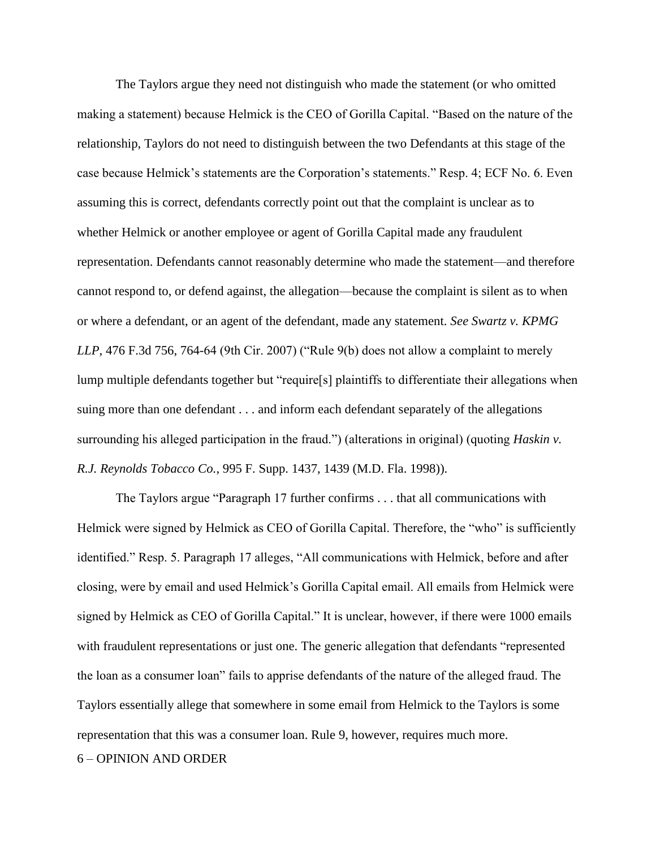The Taylors argue they need not distinguish who made the statement (or who omitted making a statement) because Helmick is the CEO of Gorilla Capital. "Based on the nature of the relationship, Taylors do not need to distinguish between the two Defendants at this stage of the case because Helmick's statements are the Corporation's statements." Resp. 4; ECF No. 6. Even assuming this is correct, defendants correctly point out that the complaint is unclear as to whether Helmick or another employee or agent of Gorilla Capital made any fraudulent representation. Defendants cannot reasonably determine who made the statement—and therefore cannot respond to, or defend against, the allegation—because the complaint is silent as to when or where a defendant, or an agent of the defendant, made any statement. *See Swartz v. KPMG LLP*, 476 F.3d 756, 764-64 (9th Cir. 2007) ("Rule 9(b) does not allow a complaint to merely lump multiple defendants together but "require[s] plaintiffs to differentiate their allegations when suing more than one defendant . . . and inform each defendant separately of the allegations surrounding his alleged participation in the fraud.") (alterations in original) (quoting *Haskin v. R.J. Reynolds Tobacco Co.*, 995 F. Supp. 1437, 1439 (M.D. Fla. 1998)).

The Taylors argue "Paragraph 17 further confirms . . . that all communications with Helmick were signed by Helmick as CEO of Gorilla Capital. Therefore, the "who" is sufficiently identified." Resp. 5. Paragraph 17 alleges, "All communications with Helmick, before and after closing, were by email and used Helmick's Gorilla Capital email. All emails from Helmick were signed by Helmick as CEO of Gorilla Capital." It is unclear, however, if there were 1000 emails with fraudulent representations or just one. The generic allegation that defendants "represented the loan as a consumer loan" fails to apprise defendants of the nature of the alleged fraud. The Taylors essentially allege that somewhere in some email from Helmick to the Taylors is some representation that this was a consumer loan. Rule 9, however, requires much more.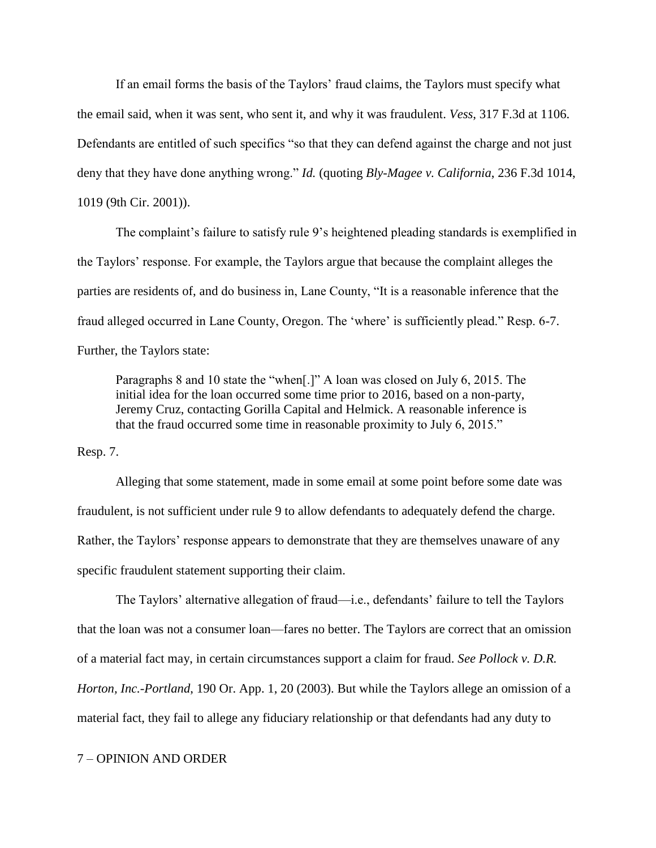If an email forms the basis of the Taylors' fraud claims, the Taylors must specify what the email said, when it was sent, who sent it, and why it was fraudulent. *Vess*, 317 F.3d at 1106. Defendants are entitled of such specifics "so that they can defend against the charge and not just deny that they have done anything wrong." *Id.* (quoting *Bly-Magee v. California*, 236 F.3d 1014, 1019 (9th Cir. 2001)).

The complaint's failure to satisfy rule 9's heightened pleading standards is exemplified in the Taylors' response. For example, the Taylors argue that because the complaint alleges the parties are residents of, and do business in, Lane County, "It is a reasonable inference that the fraud alleged occurred in Lane County, Oregon. The 'where' is sufficiently plead." Resp. 6-7. Further, the Taylors state:

Paragraphs 8 and 10 state the "when[.]" A loan was closed on July 6, 2015. The initial idea for the loan occurred some time prior to 2016, based on a non-party, Jeremy Cruz, contacting Gorilla Capital and Helmick. A reasonable inference is that the fraud occurred some time in reasonable proximity to July 6, 2015."

Resp. 7.

Alleging that some statement, made in some email at some point before some date was fraudulent, is not sufficient under rule 9 to allow defendants to adequately defend the charge. Rather, the Taylors' response appears to demonstrate that they are themselves unaware of any specific fraudulent statement supporting their claim.

The Taylors' alternative allegation of fraud—i.e., defendants' failure to tell the Taylors that the loan was not a consumer loan—fares no better. The Taylors are correct that an omission of a material fact may, in certain circumstances support a claim for fraud. *See Pollock v. D.R. Horton, Inc.-Portland*, 190 Or. App. 1, 20 (2003). But while the Taylors allege an omission of a material fact, they fail to allege any fiduciary relationship or that defendants had any duty to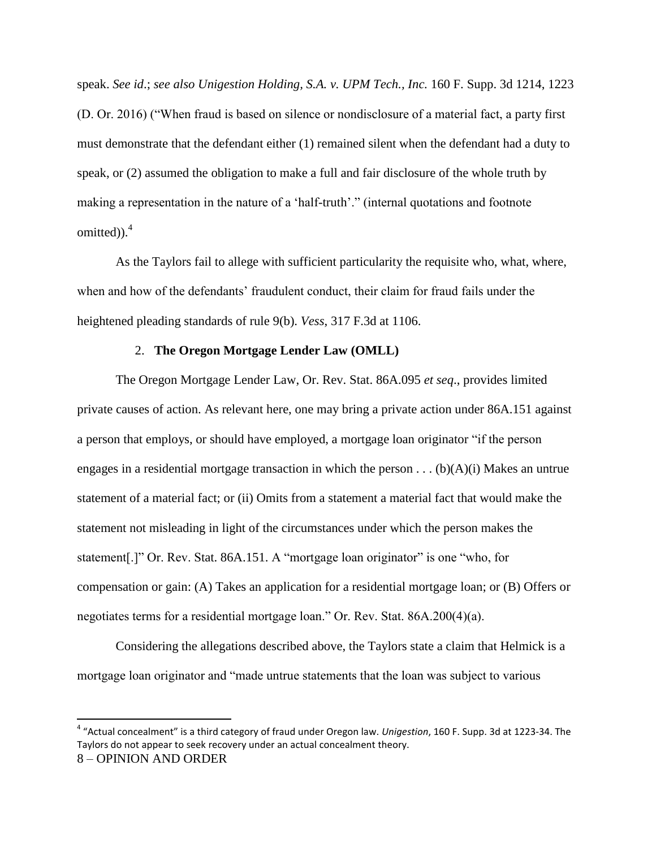speak. *See id*.; *see also Unigestion Holding, S.A. v. UPM Tech., Inc.* 160 F. Supp. 3d 1214, 1223 (D. Or. 2016) ("When fraud is based on silence or nondisclosure of a material fact, a party first must demonstrate that the defendant either (1) remained silent when the defendant had a duty to speak, or (2) assumed the obligation to make a full and fair disclosure of the whole truth by making a representation in the nature of a 'half-truth'." (internal quotations and footnote omitted)). $4$ 

As the Taylors fail to allege with sufficient particularity the requisite who, what, where, when and how of the defendants' fraudulent conduct, their claim for fraud fails under the heightened pleading standards of rule 9(b). *Vess*, 317 F.3d at 1106.

# 2. **The Oregon Mortgage Lender Law (OMLL)**

The Oregon Mortgage Lender Law, Or. Rev. Stat. 86A.095 *et seq*., provides limited private causes of action. As relevant here, one may bring a private action under 86A.151 against a person that employs, or should have employed, a mortgage loan originator "if the person engages in a residential mortgage transaction in which the person  $\dots$  (b)(A)(i) Makes an untrue statement of a material fact; or (ii) Omits from a statement a material fact that would make the statement not misleading in light of the circumstances under which the person makes the statement[.]" Or. Rev. Stat. 86A.151. A "mortgage loan originator" is one "who, for compensation or gain: (A) Takes an application for a residential mortgage loan; or (B) Offers or negotiates terms for a residential mortgage loan." Or. Rev. Stat. 86A.200(4)(a).

Considering the allegations described above, the Taylors state a claim that Helmick is a mortgage loan originator and "made untrue statements that the loan was subject to various

 $\overline{\phantom{a}}$ 

<sup>4</sup> "Actual concealment" is a third category of fraud under Oregon law. *Unigestion*, 160 F. Supp. 3d at 1223-34. The Taylors do not appear to seek recovery under an actual concealment theory.

<sup>8</sup> – OPINION AND ORDER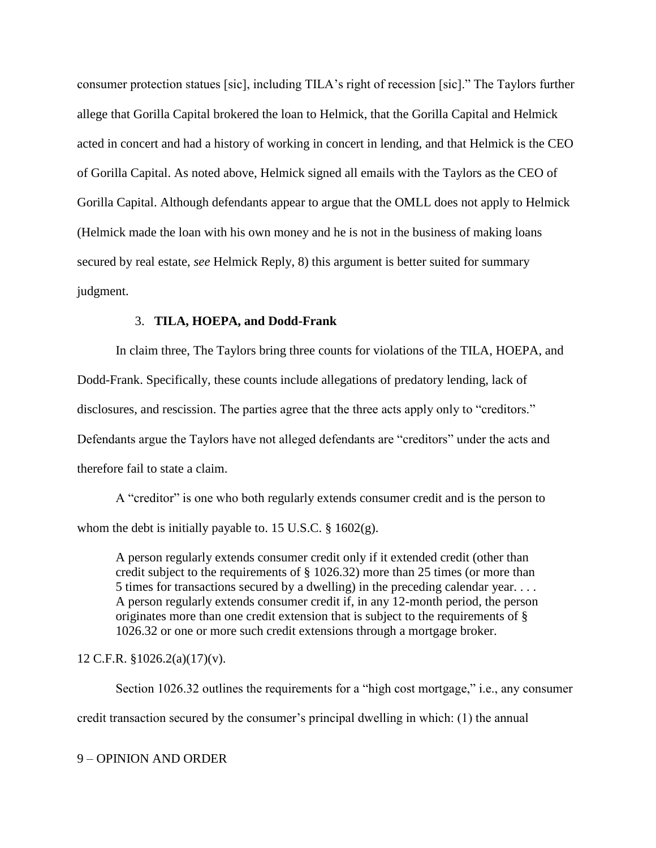consumer protection statues [sic], including TILA's right of recession [sic]." The Taylors further allege that Gorilla Capital brokered the loan to Helmick, that the Gorilla Capital and Helmick acted in concert and had a history of working in concert in lending, and that Helmick is the CEO of Gorilla Capital. As noted above, Helmick signed all emails with the Taylors as the CEO of Gorilla Capital. Although defendants appear to argue that the OMLL does not apply to Helmick (Helmick made the loan with his own money and he is not in the business of making loans secured by real estate, *see* Helmick Reply, 8) this argument is better suited for summary judgment.

#### 3. **TILA, HOEPA, and Dodd-Frank**

In claim three, The Taylors bring three counts for violations of the TILA, HOEPA, and Dodd-Frank. Specifically, these counts include allegations of predatory lending, lack of disclosures, and rescission. The parties agree that the three acts apply only to "creditors." Defendants argue the Taylors have not alleged defendants are "creditors" under the acts and therefore fail to state a claim.

A "creditor" is one who both regularly extends consumer credit and is the person to whom the debt is initially payable to. 15 U.S.C. § 1602(g).

A person regularly extends consumer credit only if it extended credit (other than credit subject to the requirements of § 1026.32) more than 25 times (or more than 5 times for transactions secured by a dwelling) in the preceding calendar year. . . . A person regularly extends consumer credit if, in any 12-month period, the person originates more than one credit extension that is subject to the requirements of § 1026.32 or one or more such credit extensions through a mortgage broker.

# 12 C.F.R. §1026.2(a)(17)(v).

Section 1026.32 outlines the requirements for a "high cost mortgage," i.e., any consumer credit transaction secured by the consumer's principal dwelling in which: (1) the annual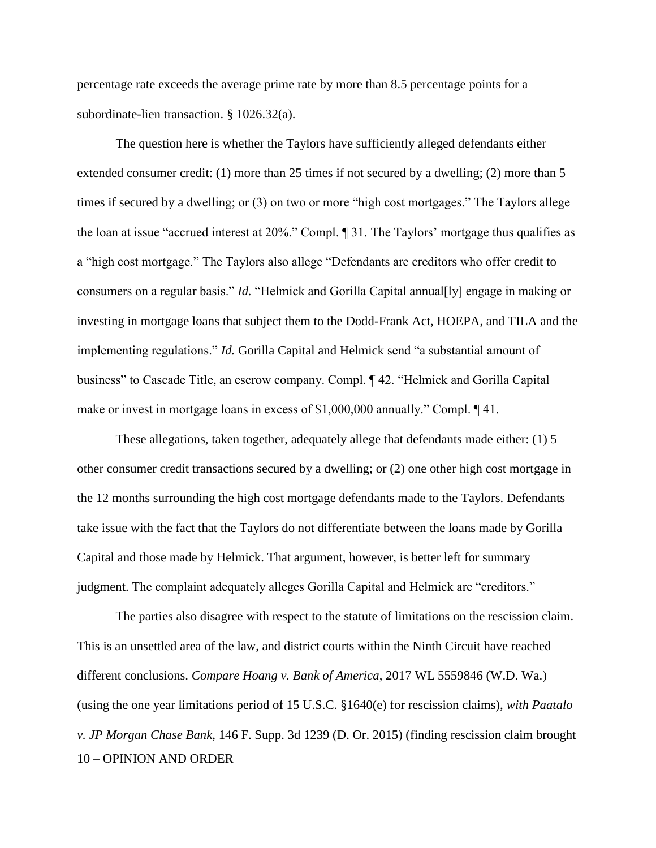percentage rate exceeds the average prime rate by more than 8.5 percentage points for a subordinate-lien transaction. § 1026.32(a).

The question here is whether the Taylors have sufficiently alleged defendants either extended consumer credit: (1) more than 25 times if not secured by a dwelling; (2) more than 5 times if secured by a dwelling; or (3) on two or more "high cost mortgages." The Taylors allege the loan at issue "accrued interest at 20%." Compl. ¶ 31. The Taylors' mortgage thus qualifies as a "high cost mortgage." The Taylors also allege "Defendants are creditors who offer credit to consumers on a regular basis." *Id.* "Helmick and Gorilla Capital annual[ly] engage in making or investing in mortgage loans that subject them to the Dodd-Frank Act, HOEPA, and TILA and the implementing regulations." *Id.* Gorilla Capital and Helmick send "a substantial amount of business" to Cascade Title, an escrow company. Compl. ¶ 42. "Helmick and Gorilla Capital make or invest in mortgage loans in excess of \$1,000,000 annually." Compl. ¶ 41.

These allegations, taken together, adequately allege that defendants made either: (1) 5 other consumer credit transactions secured by a dwelling; or (2) one other high cost mortgage in the 12 months surrounding the high cost mortgage defendants made to the Taylors. Defendants take issue with the fact that the Taylors do not differentiate between the loans made by Gorilla Capital and those made by Helmick. That argument, however, is better left for summary judgment. The complaint adequately alleges Gorilla Capital and Helmick are "creditors."

10 – OPINION AND ORDER The parties also disagree with respect to the statute of limitations on the rescission claim. This is an unsettled area of the law, and district courts within the Ninth Circuit have reached different conclusions. *Compare Hoang v. Bank of America*, 2017 WL 5559846 (W.D. Wa.) (using the one year limitations period of 15 U.S.C. §1640(e) for rescission claims), *with Paatalo v. JP Morgan Chase Bank*, 146 F. Supp. 3d 1239 (D. Or. 2015) (finding rescission claim brought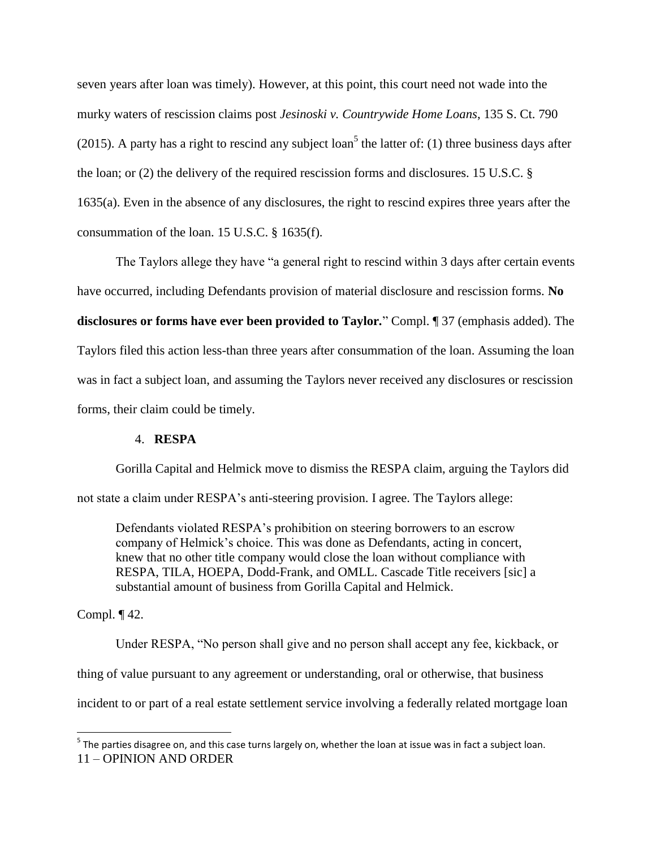seven years after loan was timely). However, at this point, this court need not wade into the murky waters of rescission claims post *Jesinoski v. Countrywide Home Loans*, 135 S. Ct. 790 (2015). A party has a right to rescind any subject loan<sup>5</sup> the latter of: (1) three business days after the loan; or (2) the delivery of the required rescission forms and disclosures. 15 U.S.C. § 1635(a). Even in the absence of any disclosures, the right to rescind expires three years after the consummation of the loan. 15 U.S.C. § 1635(f).

The Taylors allege they have "a general right to rescind within 3 days after certain events have occurred, including Defendants provision of material disclosure and rescission forms. **No disclosures or forms have ever been provided to Taylor***.*" Compl. ¶ 37 (emphasis added). The Taylors filed this action less-than three years after consummation of the loan. Assuming the loan was in fact a subject loan, and assuming the Taylors never received any disclosures or rescission forms, their claim could be timely.

# 4. **RESPA**

Gorilla Capital and Helmick move to dismiss the RESPA claim, arguing the Taylors did not state a claim under RESPA's anti-steering provision. I agree. The Taylors allege:

Defendants violated RESPA's prohibition on steering borrowers to an escrow company of Helmick's choice. This was done as Defendants, acting in concert, knew that no other title company would close the loan without compliance with RESPA, TILA, HOEPA, Dodd-Frank, and OMLL. Cascade Title receivers [sic] a substantial amount of business from Gorilla Capital and Helmick.

# Compl. ¶ 42.

l

Under RESPA, "No person shall give and no person shall accept any fee, kickback, or thing of value pursuant to any agreement or understanding, oral or otherwise, that business incident to or part of a real estate settlement service involving a federally related mortgage loan

<sup>11</sup> – OPINION AND ORDER <sup>5</sup> The parties disagree on, and this case turns largely on, whether the loan at issue was in fact a subject loan.